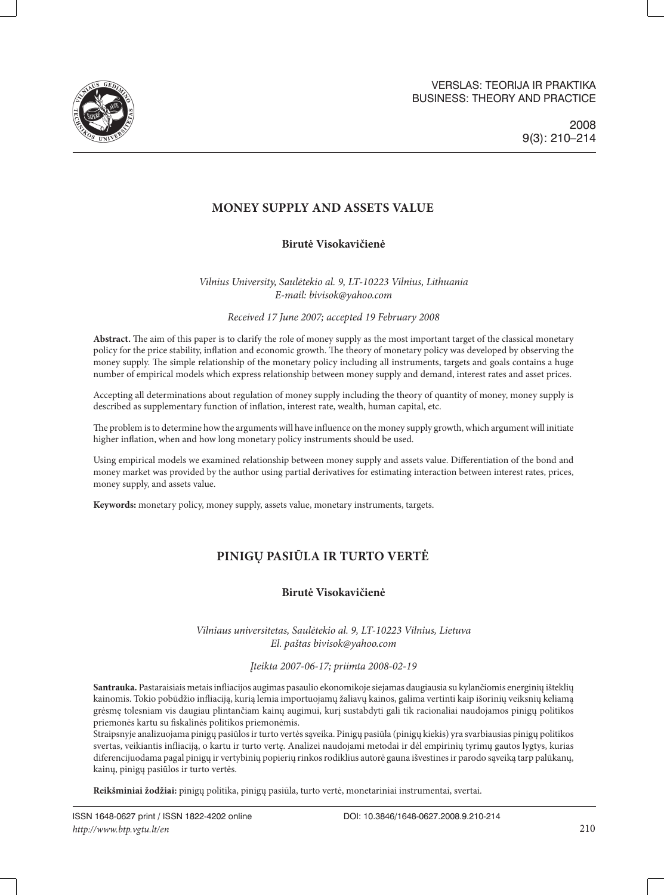

# **MONEY SUPPLY AND ASSETS VALUE**

# **Birutė Visokavičienė**

*Vilnius University, Saulėtekio al. 9, LT-10223 Vilnius, Lithuania E-mail: bivisok@yahoo.com*

*Received 17 June 2007; accepted 19 February 2008*

Abstract. The aim of this paper is to clarify the role of money supply as the most important target of the classical monetary policy for the price stability, inflation and economic growth. The theory of monetary policy was developed by observing the money supply. The simple relationship of the monetary policy including all instruments, targets and goals contains a huge number of empirical models which express relationship between money supply and demand, interest rates and asset prices.

Accepting all determinations about regulation of money supply including the theory of quantity of money, money supply is described as supplementary function of inflation, interest rate, wealth, human capital, etc.

The problem is to determine how the arguments will have influence on the money supply growth, which argument will initiate higher inflation, when and how long monetary policy instruments should be used.

Using empirical models we examined relationship between money supply and assets value. Differentiation of the bond and money market was provided by the author using partial derivatives for estimating interaction between interest rates, prices, money supply, and assets value.

**Keywords:** monetary policy, money supply, assets value, monetary instruments, targets.

# **PINIGŲ PASIŪLA IR TURTO VERTĖ**

# **Birutė Visokavičienė**

*Vilniaus universitetas, Saulėtekio al. 9, LT-10223 Vilnius, Lietuva El. paštas bivisok@yahoo.com*

*Įteikta 2007-06-17; priimta 2008-02-19*

Santrauka. Pastaraisiais metais infliacijos augimas pasaulio ekonomikoje siejamas daugiausia su kylančiomis energinių išteklių kainomis. Tokio pobūdžio infliaciją, kurią lemia importuojamų žaliavų kainos, galima vertinti kaip išorinių veiksnių keliamą grėsmę tolesniam vis daugiau plintančiam kainų augimui, kurį sustabdyti gali tik racionaliai naudojamos pinigų politikos priemonės kartu su fiskalinės politikos priemonėmis.

Straipsnyje analizuojama pinigų pasiūlos ir turto vertės sąveika. Pinigų pasiūla (pinigų kiekis) yra svarbiausias pinigų politikos svertas, veikiantis infliaciją, o kartu ir turto vertę. Analizei naudojami metodai ir dėl empirinių tyrimų gautos lygtys, kurias diferencijuodama pagal pinigų ir vertybinių popierių rinkos rodiklius autorė gauna išvestines ir parodo sąveiką tarp palūkanų, kainų, pinigų pasiūlos ir turto vertės.

**Reikšminiai žodžiai:** pinigų politika, pinigų pasiūla, turto vertė, monetariniai instrumentai, svertai.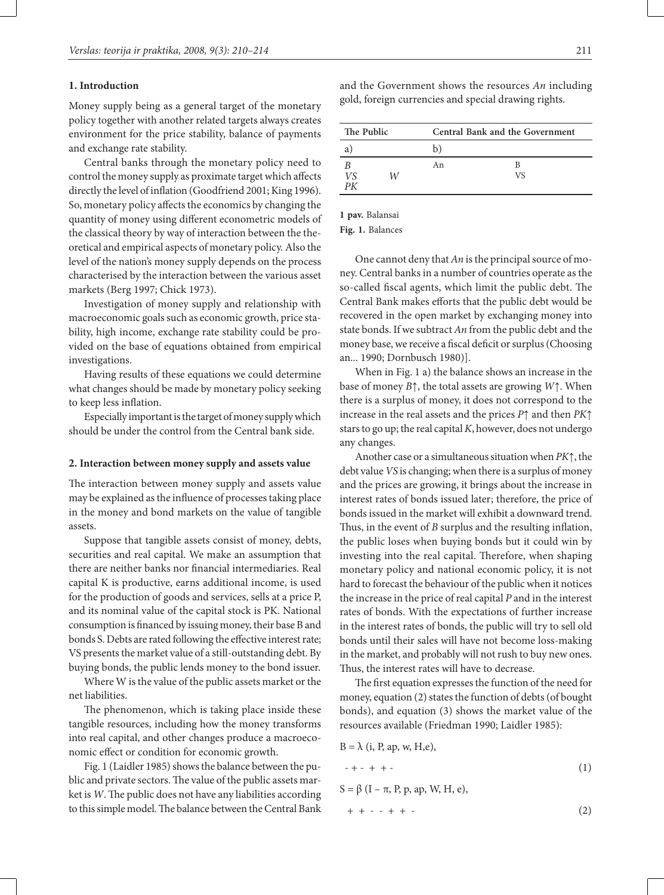## **1. Introduction**

Money supply being as a general target of the monetary policy together with another related targets always creates environment for the price stability, balance of payments and exchange rate stability.

Central banks through the monetary policy need to control the money supply as proximate target which affects directly the level of inflation (Goodfriend 2001; King 1996). So, monetary policy affects the economics by changing the quantity of money using different econometric models of the classical theory by way of interaction between the theoretical and empirical aspects of monetary policy. Also the level of the nation's money supply depends on the process characterised by the interaction between the various asset markets (Berg 1997; Chick 1973).

Investigation of money supply and relationship with macroeconomic goals such as economic growth, price stability, high income, exchange rate stability could be provided on the base of equations obtained from empirical investigations.

Having results of these equations we could determine what changes should be made by monetary policy seeking to keep less inflation.

Especially important is the target of money supply which should be under the control from the Central bank side.

#### **2. Interaction between money supply and assets value**

The interaction between money supply and assets value may be explained as the influence of processes taking place in the money and bond markets on the value of tangible assets.

Suppose that tangible assets consist of money, debts, securities and real capital. We make an assumption that there are neither banks nor financial intermediaries. Real capital K is productive, earns additional income, is used for the production of goods and services, sells at a price P, and its nominal value of the capital stock is PK. National consumption is financed by issuing money, their base B and bonds S. Debts are rated following the effective interest rate; VS presents the market value of a still-outstanding debt. By buying bonds, the public lends money to the bond issuer.

Where W is the value of the public assets market or the net liabilities.

The phenomenon, which is taking place inside these tangible resources, including how the money transforms into real capital, and other changes produce a macroeconomic effect or condition for economic growth.

Fig. 1 (Laidler 1985) shows the balance between the public and private sectors. The value of the public assets market is *W*. The public does not have any liabilities according to this simple model. The balance between the Central Bank and the Government shows the resources *An* including gold, foreign currencies and special drawing rights.

| The Public |   | Central Bank and the Government |    |
|------------|---|---------------------------------|----|
| a          |   | b)                              |    |
|            |   | An                              | в  |
| VS<br>PK   | W |                                 | VS |
|            |   |                                 |    |

**1 pav.** Balansai

**Fig. 1.** Balances

One cannot deny that *An* is the principal source of money. Central banks in a number of countries operate as the so-called fiscal agents, which limit the public debt. The Central Bank makes efforts that the public debt would be recovered in the open market by exchanging money into state bonds. If we subtract *An* from the public debt and the money base, we receive a fiscal deficit or surplus (Choosing an... 1990; Dornbusch 1980)].

When in Fig. 1 a) the balance shows an increase in the base of money *B↑*, the total assets are growing *W↑*. When there is a surplus of money, it does not correspond to the increase in the real assets and the prices *P↑* and then *PK↑* stars to go up; the real capital *K*, however, does not undergo any changes.

Another case or a simultaneous situation when *PK↑*, the debt value *VS* is changing; when there is a surplus of money and the prices are growing, it brings about the increase in interest rates of bonds issued later; therefore, the price of bonds issued in the market will exhibit a downward trend. Thus, in the event of *B* surplus and the resulting inflation, the public loses when buying bonds but it could win by investing into the real capital. Therefore, when shaping monetary policy and national economic policy, it is not hard to forecast the behaviour of the public when it notices the increase in the price of real capital *P* and in the interest rates of bonds. With the expectations of further increase in the interest rates of bonds, the public will try to sell old bonds until their sales will have not become loss-making in the market, and probably will not rush to buy new ones. Thus, the interest rates will have to decrease.

The first equation expresses the function of the need for money, equation (2) states the function of debts (of bought bonds), and equation (3) shows the market value of the resources available (Friedman 1990; Laidler 1985):

$$
B = \lambda (i, P, ap, w, H, e),
$$
  
- + - + + - (1)

$$
S = \beta (I - \pi, P, p, ap, W, H, e),
$$

$$
++--++-- \hspace{2.5cm} (2)
$$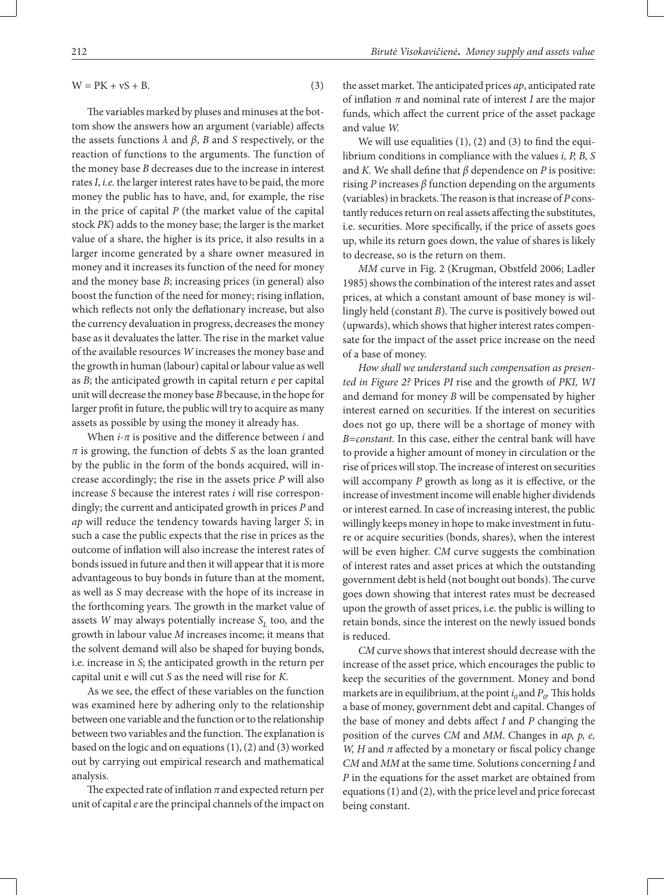$W = PK + vS + B.$  (3)

The variables marked by pluses and minuses at the bottom show the answers how an argument (variable) affects the assets functions *λ* and *β*, *B* and *S* respectively, or the reaction of functions to the arguments. The function of the money base *B* decreases due to the increase in interest rates *I*, *i.e.* the larger interest rates have to be paid, the more money the public has to have, and, for example, the rise in the price of capital *P* (the market value of the capital stock *PK*) adds to the money base; the larger is the market value of a share, the higher is its price, it also results in a larger income generated by a share owner measured in money and it increases its function of the need for money and the money base *B*; increasing prices (in general) also boost the function of the need for money; rising inflation, which reflects not only the deflationary increase, but also the currency devaluation in progress, decreases the money base as it devaluates the latter. The rise in the market value of the available resources *W* increases the money base and the growth in human (labour) capital or labour value as well as *B*; the anticipated growth in capital return *e* per capital unit will decrease the money base *B* because, in the hope for larger profit in future, the public will try to acquire as many assets as possible by using the money it already has.

When  $i$ - $\pi$  is positive and the difference between  $i$  and *π* is growing, the function of debts *S* as the loan granted by the public in the form of the bonds acquired, will increase accordingly; the rise in the assets price *P* will also increase *S* because the interest rates *i* will rise correspondingly; the current and anticipated growth in prices *P* and *ap* will reduce the tendency towards having larger *S*; in such a case the public expects that the rise in prices as the outcome of inflation will also increase the interest rates of bonds issued in future and then it will appear that it is more advantageous to buy bonds in future than at the moment, as well as *S* may decrease with the hope of its increase in the forthcoming years. The growth in the market value of assets *W* may always potentially increase  $S_L$  too, and the growth in labour value *M* increases income; it means that the solvent demand will also be shaped for buying bonds, i.e. increase in *S*; the anticipated growth in the return per capital unit e will cut *S* as the need will rise for *K*.

As we see, the effect of these variables on the function was examined here by adhering only to the relationship between one variable and the function or to the relationship between two variables and the function. The explanation is based on the logic and on equations (1), (2) and (3) worked out by carrying out empirical research and mathematical analysis.

The expected rate of inflation  $\pi$  and expected return per unit of capital *e* are the principal channels of the impact on the asset market. The anticipated prices *ap*, anticipated rate of infl ation *π* and nominal rate of interest *I* are the major funds, which affect the current price of the asset package and value *W.*

We will use equalities  $(1)$ ,  $(2)$  and  $(3)$  to find the equilibrium conditions in compliance with the values *i, P, B, S*  and *K*. We shall define that  $\beta$  dependence on *P* is positive: rising *P* increases *β* function depending on the arguments (variables) in brackets. The reason is that increase of *P* constantly reduces return on real assets affecting the substitutes, i.e. securities. More specifically, if the price of assets goes up, while its return goes down, the value of shares is likely to decrease, so is the return on them.

*MM* curve in Fig. 2 (Krugman, Obstfeld 2006; Ladler 1985) shows the combination of the interest rates and asset prices, at which a constant amount of base money is willingly held (constant *B*). The curve is positively bowed out (upwards), which shows that higher interest rates compensate for the impact of the asset price increase on the need of a base of money.

*How shall we understand such compensation as presented in Figure 2?* Prices *PI* rise and the growth of *PKI, WI*  and demand for money *B* will be compensated by higher interest earned on securities. If the interest on securities does not go up, there will be a shortage of money with *B=constant.* In this case, either the central bank will have to provide a higher amount of money in circulation or the rise of prices will stop. The increase of interest on securities will accompany *P* growth as long as it is effective, or the increase of investment income will enable higher dividends or interest earned. In case of increasing interest, the public willingly keeps money in hope to make investment in future or acquire securities (bonds, shares), when the interest will be even higher. *CM* curve suggests the combination of interest rates and asset prices at which the outstanding government debt is held (not bought out bonds). The curve goes down showing that interest rates must be decreased upon the growth of asset prices, i.e. the public is willing to retain bonds, since the interest on the newly issued bonds is reduced.

*CM* curve shows that interest should decrease with the increase of the asset price, which encourages the public to keep the securities of the government. Money and bond markets are in equilibrium, at the point  $i_0$  and  $P_0$ . This holds a base of money, government debt and capital. Changes of the base of money and debts affect *I* and *P* changing the position of the curves *CM* and *MM*. Changes in *ap, p, e, W, H* and  $\pi$  affected by a monetary or fiscal policy change *CM* and *MM* at the same time. Solutions concerning *I* and *P* in the equations for the asset market are obtained from equations (1) and (2), with the price level and price forecast being constant.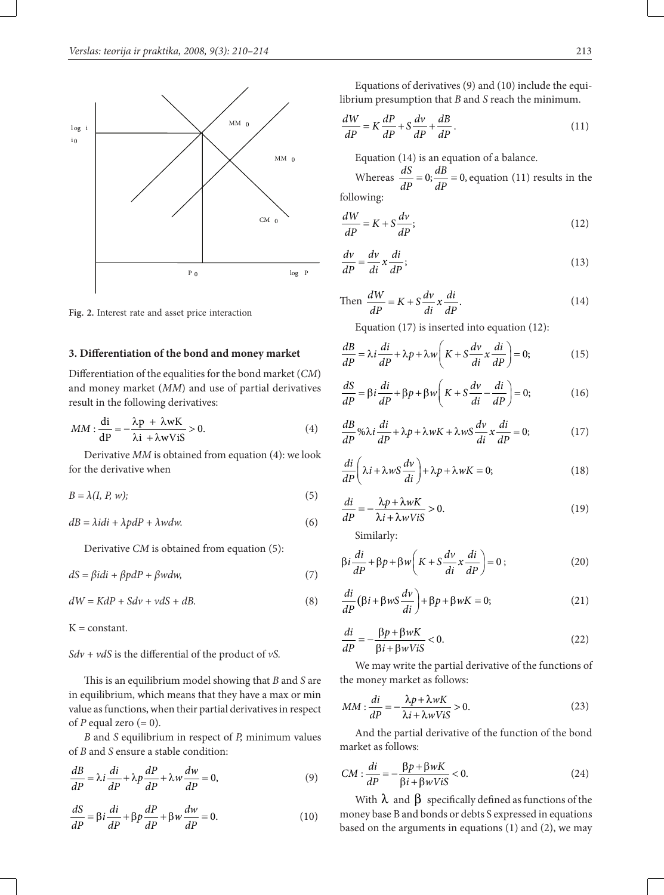

**Fig. 2.** Interest rate and asset price interaction

## **3. Diff erentiation of the bond and money market**

Differentiation of the equalities for the bond market (*CM*) and money market (*MM*) and use of partial derivatives result in the following derivatives:

$$
MM: \frac{di}{dP} = -\frac{\lambda p + \lambda wK}{\lambda i + \lambda wViS} > 0.
$$
 (4)

Derivative *MM* is obtained from equation (4): we look for the derivative when

$$
B = \lambda(I, P, w); \tag{5}
$$

$$
dB = \lambda i di + \lambda p dP + \lambda w dw.
$$
 (6)

Derivative *CM* is obtained from equation (5):

$$
dS = \beta i di + \beta p dP + \beta w dw,
$$
\n(7)

 $dW = KdP + Sdv + v dS + dB.$  (8)

 $K = constant$ .

### $Sdv + v dS$  is the differential of the product of *vS*.

This is an equilibrium model showing that *B* and *S* are in equilibrium, which means that they have a max or min value as functions, when their partial derivatives in respect of  $P$  equal zero  $(= 0)$ .

*B* and *S* equilibrium in respect of *P,* minimum values of *B* and *S* ensure a stable condition:

$$
\frac{dB}{dP} = \lambda i \frac{di}{dP} + \lambda p \frac{dP}{dP} + \lambda w \frac{dw}{dP} = 0,
$$
\n(9)

$$
\frac{dS}{dP} = \beta i \frac{di}{dP} + \beta p \frac{dP}{dP} + \beta w \frac{dw}{dP} = 0.
$$
 (10)

Equations of derivatives (9) and (10) include the equilibrium presumption that *B* and *S* reach the minimum.

$$
\frac{dW}{dP} = K\frac{dP}{dP} + S\frac{dv}{dP} + \frac{dB}{dP}.
$$
\n(11)

Equation (14) is an equation of a balance.

Whereas  $\frac{dS}{dP} = 0$ ;  $\frac{dB}{dP} = 0$ , equation (11) results in the following:

$$
\frac{dW}{dP} = K + S\frac{dv}{dP};\tag{12}
$$

$$
\frac{dv}{dP} = \frac{dv}{di} x \frac{di}{dP};
$$
\n(13)

Then 
$$
\frac{dW}{dP} = K + S \frac{dv}{di} x \frac{di}{dP}.
$$
 (14)

Equation (17) is inserted into equation (12):

$$
\frac{dB}{dP} = \lambda i \frac{di}{dP} + \lambda p + \lambda w \left( K + S \frac{dv}{di} x \frac{di}{dP} \right) = 0; \tag{15}
$$

$$
\frac{dS}{dP} = \beta i \frac{di}{dP} + \beta p + \beta w \left( K + S \frac{dv}{di} - \frac{di}{dP} \right) = 0; \tag{16}
$$

$$
\frac{dB}{dP}\% \lambda i \frac{di}{dP} + \lambda p + \lambda wK + \lambda wS \frac{dv}{di} x \frac{di}{dP} = 0;\t(17)
$$

$$
\frac{di}{dP}\left(\lambda i + \lambda wS\frac{dv}{di}\right) + \lambda p + \lambda wK = 0;\tag{18}
$$

$$
\frac{di}{dP} = -\frac{\lambda p + \lambda wK}{\lambda i + \lambda wViS} > 0.
$$
 (19)

Similarly:

$$
\beta i \frac{di}{dP} + \beta p + \beta w \left( K + S \frac{dv}{di} x \frac{di}{dP} \right) = 0 ; \qquad (20)
$$

$$
\frac{di}{dP}(\beta i + \beta wS \frac{dv}{di}) + \beta p + \beta wK = 0;\t(21)
$$

$$
\frac{di}{dP} = -\frac{\beta p + \beta wK}{\beta i + \beta wVis} < 0. \tag{22}
$$

We may write the partial derivative of the functions of the money market as follows:

$$
MM: \frac{di}{dP} = -\frac{\lambda p + \lambda w}{\lambda i + \lambda w V iS} > 0.
$$
 (23)

And the partial derivative of the function of the bond market as follows:

$$
CM: \frac{di}{dP} = -\frac{\beta p + \beta wK}{\beta i + \beta wViS} < 0. \tag{24}
$$

With  $\lambda$  and  $\beta$  specifically defined as functions of the money base B and bonds or debts S expressed in equations based on the arguments in equations (1) and (2), we may